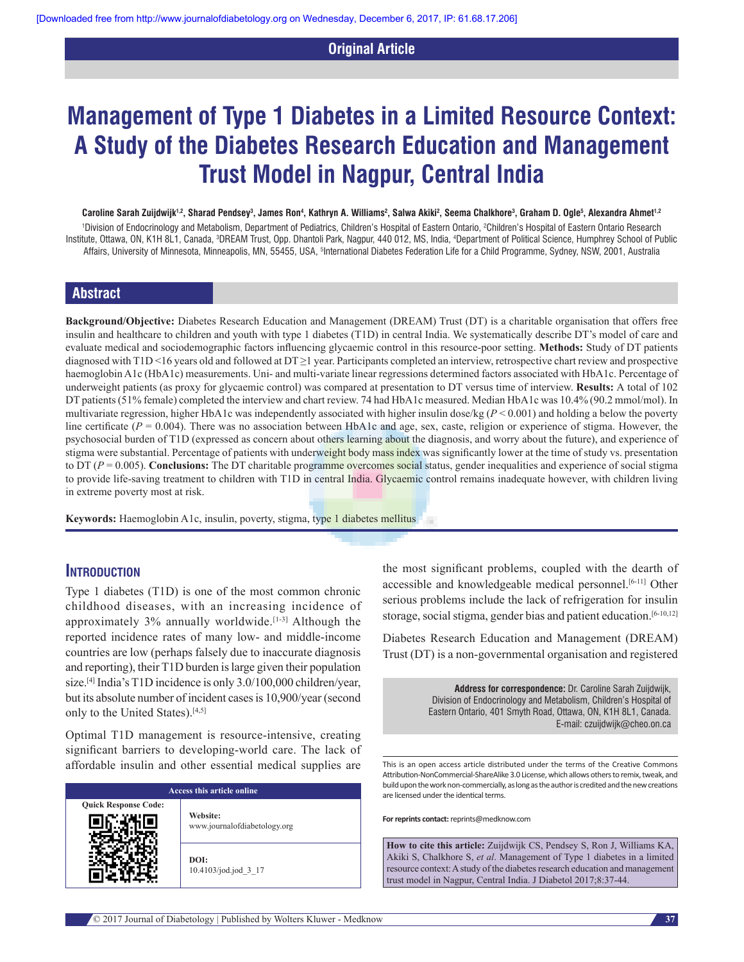## **Original Article**

# **Management of Type 1 Diabetes in a Limited Resource Context: A Study of the Diabetes Research Education and Management Trust Model in Nagpur, Central India**

#### $\bf{C}$ aroline Sarah Zuijdwijk<sup>1,2</sup>, Sharad Pendsey<sup>3</sup>, James Ron4, Kathryn A. Williams<sup>2</sup>, Salwa Akiki<sup>2</sup>, Seema Chalkhore<sup>3</sup>, Graham D. Ogle5, Alexandra Ahmet<sup>1,2</sup>

'Division of Endocrinology and Metabolism, Department of Pediatrics, Children's Hospital of Eastern Ontario, 2Children's Hospital of Eastern Ontario Research Institute, Ottawa, ON, K1H 8L1, Canada, <sup>s</sup>DREAM Trust, Opp. Dhantoli Park, Nagpur, 440 012, MS, India, <sup>4</sup>Department of Political Science, Humphrey School of Public Affairs, University of Minnesota, Minneapolis, MN, 55455, USA, <sup>s</sup>International Diabetes Federation Life for a Child Programme, Sydney, NSW, 2001, Australia

# **Abstract**

**Background/Objective:** Diabetes Research Education and Management (DREAM) Trust (DT) is a charitable organisation that offers free insulin and healthcare to children and youth with type 1 diabetes (T1D) in central India. We systematically describe DT's model of care and evaluate medical and sociodemographic factors influencing glycaemic control in this resource‑poor setting. **Methods:** Study of DT patients diagnosed with T1D <16 years old and followed at DT ≥1 year. Participants completed an interview, retrospective chart review and prospective haemoglobin A1c (HbA1c) measurements. Uni- and multi-variate linear regressions determined factors associated with HbA1c. Percentage of underweight patients (as proxy for glycaemic control) was compared at presentation to DT versus time of interview. **Results:** A total of 102 DT patients(51% female) completed the interview and chart review. 74 had HbA1c measured. Median HbA1c was 10.4% (90.2 mmol/mol). In multivariate regression, higher HbA1c was independently associated with higher insulin dose/kg (*P* < 0.001) and holding a below the poverty line certificate ( $P = 0.004$ ). There was no association between HbA1c and age, sex, caste, religion or experience of stigma. However, the psychosocial burden of T1D (expressed as concern about others learning about the diagnosis, and worry about the future), and experience of stigma were substantial. Percentage of patients with underweight body mass index was significantly lower at the time of study vs. presentation to DT (*P* = 0.005). **Conclusions:** The DT charitable programme overcomes social status, gender inequalities and experience of social stigma to provide life-saving treatment to children with T1D in central India. Glycaemic control remains inadequate however, with children living in extreme poverty most at risk.

**Keywords:** Haemoglobin A1c, insulin, poverty, stigma, type 1 diabetes mellitus

#### **Introduction**

Type 1 diabetes (T1D) is one of the most common chronic childhood diseases, with an increasing incidence of approximately  $3\%$  annually worldwide.<sup>[1-3]</sup> Although the reported incidence rates of many low‑ and middle‑income countries are low (perhaps falsely due to inaccurate diagnosis and reporting), their T1D burden is large given their population size.<sup>[4]</sup> India's T1D incidence is only 3.0/100,000 children/year, but its absolute number of incident cases is 10,900/year (second only to the United States).<sup>[4,5]</sup>

Optimal T1D management is resource‑intensive, creating significant barriers to developing-world care. The lack of affordable insulin and other essential medical supplies are

| Access this article online  |                                          |  |
|-----------------------------|------------------------------------------|--|
| <b>Quick Response Code:</b> | Website:<br>www.journalofdiabetology.org |  |
|                             | DOI:<br>$10.4103$ /jod.jod 3 17          |  |

the most significant problems, coupled with the dearth of accessible and knowledgeable medical personnel.<sup>[6-11]</sup> Other serious problems include the lack of refrigeration for insulin storage, social stigma, gender bias and patient education.<sup>[6-10,12]</sup>

Diabetes Research Education and Management (DREAM) Trust (DT) is a non‑governmental organisation and registered

> **Address for correspondence:** Dr. Caroline Sarah Zuijdwijk, Division of Endocrinology and Metabolism, Children's Hospital of Eastern Ontario, 401 Smyth Road, Ottawa, ON, K1H 8L1, Canada. E‑mail: czuijdwijk@cheo.on.ca

This is an open access article distributed under the terms of the Creative Commons Attribution‑NonCommercial‑ShareAlike 3.0 License, which allows others to remix, tweak, and build upon the work non‑commercially, as long as the author is credited and the new creations are licensed under the identical terms.

**For reprints contact:** reprints@medknow.com

**How to cite this article:** Zuijdwijk CS, Pendsey S, Ron J, Williams KA, Akiki S, Chalkhore S, *et al*. Management of Type 1 diabetes in a limited resource context: A study of the diabetes research education and management trust model in Nagpur, Central India. J Diabetol 2017;8:37-44.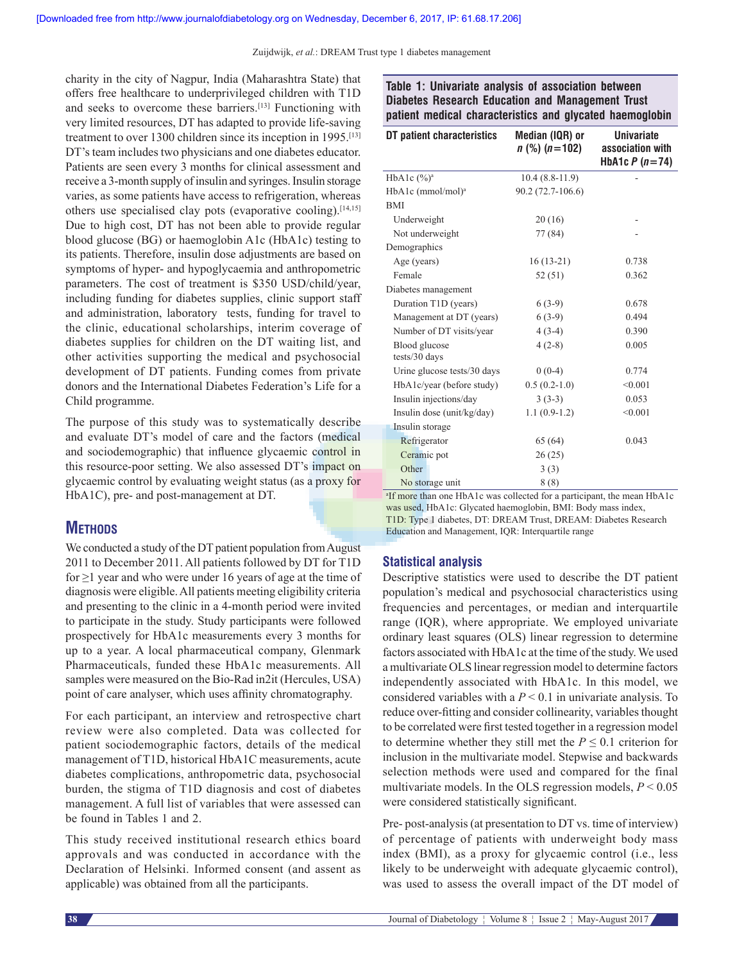charity in the city of Nagpur, India (Maharashtra State) that offers free healthcare to underprivileged children with T1D and seeks to overcome these barriers.[13] Functioning with very limited resources, DT has adapted to provide life-saving treatment to over 1300 children since its inception in 1995.[13] DT's team includes two physicians and one diabetes educator. Patients are seen every 3 months for clinical assessment and receive a 3‑month supply of insulin and syringes. Insulin storage varies, as some patients have access to refrigeration, whereas others use specialised clay pots (evaporative cooling).[14,15] Due to high cost, DT has not been able to provide regular blood glucose (BG) or haemoglobin A1c (HbA1c) testing to its patients. Therefore, insulin dose adjustments are based on symptoms of hyper- and hypoglycaemia and anthropometric parameters. The cost of treatment is \$350 USD/child/year, including funding for diabetes supplies, clinic support staff and administration, laboratory tests, funding for travel to the clinic, educational scholarships, interim coverage of diabetes supplies for children on the DT waiting list, and other activities supporting the medical and psychosocial development of DT patients. Funding comes from private donors and the International Diabetes Federation's Life for a Child programme.

The purpose of this study was to systematically describe and evaluate DT's model of care and the factors (medical and sociodemographic) that influence glycaemic control in this resource-poor setting. We also assessed DT's impact on glycaemic control by evaluating weight status (as a proxy for HbA1C), pre- and post-management at DT.

# **METHODS**

We conducted a study of the DT patient population from August 2011 to December 2011. All patients followed by DT for T1D for  $\geq$ 1 year and who were under 16 years of age at the time of diagnosis were eligible. All patients meeting eligibility criteria and presenting to the clinic in a 4‑month period were invited to participate in the study. Study participants were followed prospectively for HbA1c measurements every 3 months for up to a year. A local pharmaceutical company, Glenmark Pharmaceuticals, funded these HbA1c measurements. All samples were measured on the Bio-Rad in2it (Hercules, USA) point of care analyser, which uses affinity chromatography.

For each participant, an interview and retrospective chart review were also completed. Data was collected for patient sociodemographic factors, details of the medical management of T1D, historical HbA1C measurements, acute diabetes complications, anthropometric data, psychosocial burden, the stigma of T1D diagnosis and cost of diabetes management. A full list of variables that were assessed can be found in Tables 1 and 2.

This study received institutional research ethics board approvals and was conducted in accordance with the Declaration of Helsinki. Informed consent (and assent as applicable) was obtained from all the participants.

**Table 1: Univariate analysis of association between Diabetes Research Education and Management Trust patient medical characteristics and glycated haemoglobin**

| DT patient characteristics      | Median (IQR) or<br>$n$ (%) ( $n$ =102) | <b>Univariate</b><br>association with<br>HbA1c $P(n=74)$ |
|---------------------------------|----------------------------------------|----------------------------------------------------------|
| HbA1c $(\frac{6}{9})^a$         | $10.4(8.8-11.9)$                       |                                                          |
| $HbA1c$ (mmol/mol) <sup>a</sup> | 90.2 (72.7-106.6)                      |                                                          |
| <b>BMI</b>                      |                                        |                                                          |
| Underweight                     | 20(16)                                 |                                                          |
| Not underweight                 | 77 (84)                                |                                                          |
| Demographics                    |                                        |                                                          |
| Age (years)                     | $16(13-21)$                            | 0.738                                                    |
| Female                          | 52 (51)                                | 0.362                                                    |
| Diabetes management             |                                        |                                                          |
| Duration T1D (years)            | $6(3-9)$                               | 0.678                                                    |
| Management at DT (years)        | $6(3-9)$                               | 0.494                                                    |
| Number of DT visits/year        | $4(3-4)$                               | 0.390                                                    |
| Blood glucose<br>tests/30 days  | $4(2-8)$                               | 0.005                                                    |
| Urine glucose tests/30 days     | $0(0-4)$                               | 0.774                                                    |
| HbA1c/year (before study)       | $0.5(0.2-1.0)$                         | < 0.001                                                  |
| Insulin injections/day          | $3(3-3)$                               | 0.053                                                    |
| Insulin dose (unit/kg/day)      | $1.1(0.9-1.2)$                         | < 0.001                                                  |
| Insulin storage                 |                                        |                                                          |
| Refrigerator                    | 65 (64)                                | 0.043                                                    |
| Ceramic pot                     | 26(25)                                 |                                                          |
| Other                           | 3(3)                                   |                                                          |
| No storage unit                 | 8(8)                                   |                                                          |

<sup>a</sup>If more than one HbA1c was collected for a participant, the mean HbA1c was used, HbA1c: Glycated haemoglobin, BMI: Body mass index, T1D: Type 1 diabetes, DT: DREAM Trust, DREAM: Diabetes Research Education and Management, IQR: Interquartile range

## **Statistical analysis**

Descriptive statistics were used to describe the DT patient population's medical and psychosocial characteristics using frequencies and percentages, or median and interquartile range (IQR), where appropriate. We employed univariate ordinary least squares (OLS) linear regression to determine factors associated with HbA1c at the time of the study. We used a multivariate OLS linear regression model to determine factors independently associated with HbA1c. In this model, we considered variables with a *P* < 0.1 in univariate analysis. To reduce over-fitting and consider collinearity, variables thought to be correlated were first tested together in a regression model to determine whether they still met the  $P \leq 0.1$  criterion for inclusion in the multivariate model. Stepwise and backwards selection methods were used and compared for the final multivariate models. In the OLS regression models, *P* < 0.05 were considered statistically significant.

Pre-post-analysis (at presentation to DT vs. time of interview) of percentage of patients with underweight body mass index (BMI), as a proxy for glycaemic control (i.e., less likely to be underweight with adequate glycaemic control), was used to assess the overall impact of the DT model of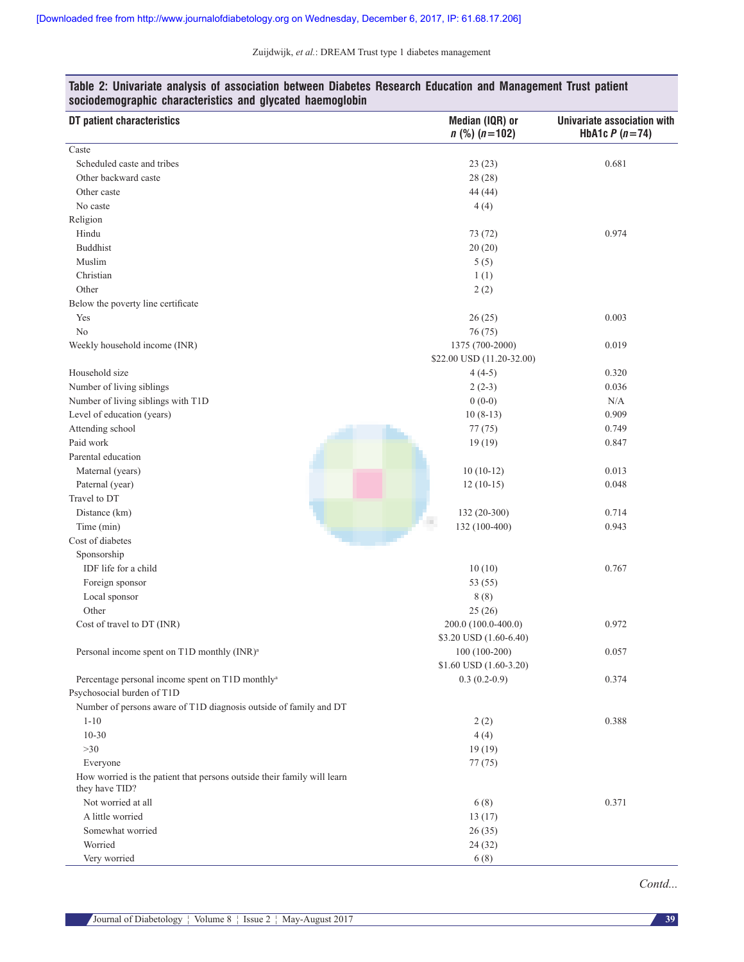| DT patient characteristics                                              | Median (IQR) or<br>$n$ (%) $(n=102)$ | Univariate association with<br>HbA1c $P(n=74)$ |
|-------------------------------------------------------------------------|--------------------------------------|------------------------------------------------|
| Caste                                                                   |                                      |                                                |
| Scheduled caste and tribes                                              | 23(23)                               | 0.681                                          |
| Other backward caste                                                    | 28 (28)                              |                                                |
| Other caste                                                             | 44 (44)                              |                                                |
| No caste                                                                | 4(4)                                 |                                                |
| Religion                                                                |                                      |                                                |
| Hindu                                                                   | 73 (72)                              | 0.974                                          |
| <b>Buddhist</b>                                                         | 20(20)                               |                                                |
| Muslim                                                                  | 5(5)                                 |                                                |
| Christian                                                               | 1(1)                                 |                                                |
| Other                                                                   | 2(2)                                 |                                                |
| Below the poverty line certificate                                      |                                      |                                                |
| Yes                                                                     | 26(25)                               | 0.003                                          |
| No                                                                      | 76 (75)                              |                                                |
| Weekly household income (INR)                                           | 1375 (700-2000)                      | 0.019                                          |
|                                                                         | \$22.00 USD (11.20-32.00)            |                                                |
| Household size                                                          | $4(4-5)$                             | 0.320                                          |
| Number of living siblings                                               | $2(2-3)$                             | 0.036                                          |
| Number of living siblings with T1D                                      | $0(0-0)$                             | N/A                                            |
| Level of education (years)                                              | $10(8-13)$                           | 0.909                                          |
| Attending school                                                        | 77(75)                               | 0.749                                          |
| Paid work                                                               | 19(19)                               | 0.847                                          |
| Parental education                                                      |                                      |                                                |
| Maternal (years)                                                        | $10(10-12)$                          | 0.013                                          |
| Paternal (year)                                                         | $12(10-15)$                          | 0.048                                          |
| Travel to DT                                                            |                                      |                                                |
| Distance (km)                                                           | 132 (20-300)                         | 0.714                                          |
| Time (min)                                                              | 132 (100-400)                        | 0.943                                          |
| Cost of diabetes                                                        |                                      |                                                |
| Sponsorship                                                             |                                      |                                                |
| IDF life for a child                                                    | 10(10)                               | 0.767                                          |
| Foreign sponsor                                                         | 53 (55)                              |                                                |
| Local sponsor                                                           | 8(8)                                 |                                                |
| Other                                                                   | 25(26)                               |                                                |
| Cost of travel to DT (INR)                                              | 200.0 (100.0-400.0)                  | 0.972                                          |
|                                                                         | \$3.20 USD (1.60-6.40)               |                                                |
| Personal income spent on T1D monthly (INR) <sup>a</sup>                 | $100(100-200)$                       | 0.057                                          |
|                                                                         | \$1.60 USD (1.60-3.20)               |                                                |
| Percentage personal income spent on T1D monthly <sup>a</sup>            | $0.3(0.2-0.9)$                       | 0.374                                          |
| Psychosocial burden of T1D                                              |                                      |                                                |
| Number of persons aware of T1D diagnosis outside of family and DT       |                                      |                                                |
| $1 - 10$                                                                | 2(2)                                 | 0.388                                          |
| $10 - 30$                                                               | 4(4)                                 |                                                |
| $>30$                                                                   | 19(19)                               |                                                |
| Everyone                                                                | 77(75)                               |                                                |
| How worried is the patient that persons outside their family will learn |                                      |                                                |
| they have TID?                                                          |                                      |                                                |
| Not worried at all                                                      | 6(8)                                 | 0.371                                          |
| A little worried                                                        | 13(17)                               |                                                |
| Somewhat worried                                                        | 26(35)                               |                                                |
| Worried                                                                 | 24(32)                               |                                                |
| Very worried                                                            | 6(8)                                 |                                                |

## **Table 2: Univariate analysis of association between Diabetes Research Education and Management Trust patient sociodemographic characteristics and glycated haemoglobin**

*Contd...*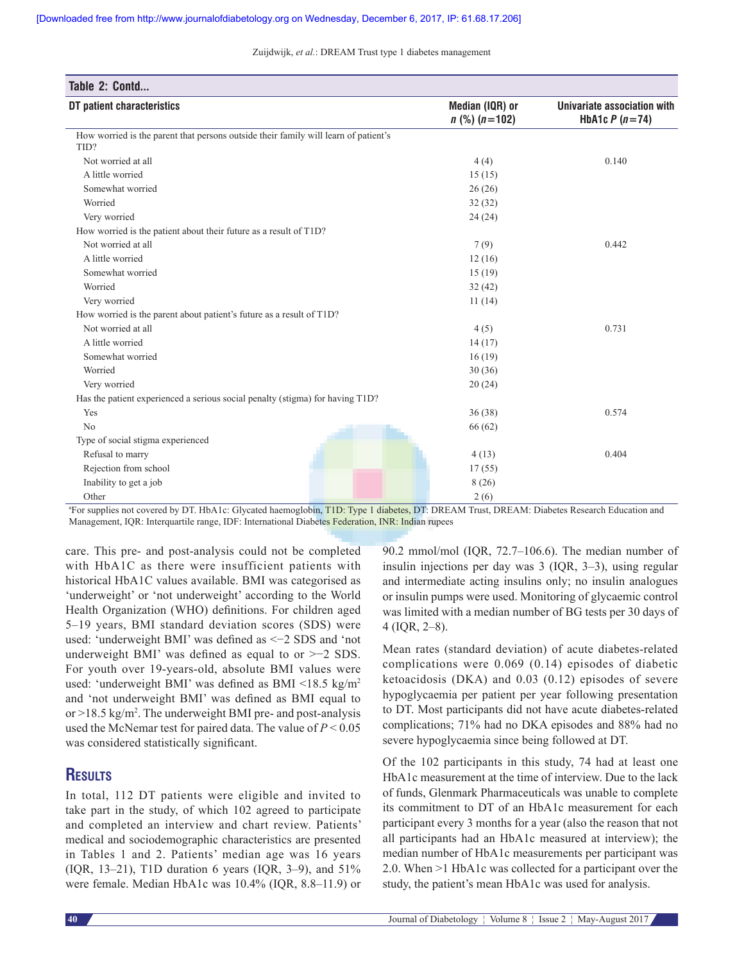| Table 2: Contd                                                                              |                                      |                                                |
|---------------------------------------------------------------------------------------------|--------------------------------------|------------------------------------------------|
| DT patient characteristics                                                                  | Median (IQR) or<br>$n$ (%) $(n=102)$ | Univariate association with<br>HbA1c $P(n=74)$ |
| How worried is the parent that persons outside their family will learn of patient's<br>TID? |                                      |                                                |
| Not worried at all                                                                          | 4(4)                                 | 0.140                                          |
| A little worried                                                                            | 15(15)                               |                                                |
| Somewhat worried                                                                            | 26(26)                               |                                                |
| Worried                                                                                     | 32(32)                               |                                                |
| Very worried                                                                                | 24(24)                               |                                                |
| How worried is the patient about their future as a result of T1D?                           |                                      |                                                |
| Not worried at all                                                                          | 7(9)                                 | 0.442                                          |
| A little worried                                                                            | 12(16)                               |                                                |
| Somewhat worried                                                                            | 15(19)                               |                                                |
| Worried                                                                                     | 32(42)                               |                                                |
| Very worried                                                                                | 11(14)                               |                                                |
| How worried is the parent about patient's future as a result of T1D?                        |                                      |                                                |
| Not worried at all                                                                          | 4(5)                                 | 0.731                                          |
| A little worried                                                                            | 14(17)                               |                                                |
| Somewhat worried                                                                            | 16(19)                               |                                                |
| Worried                                                                                     | 30(36)                               |                                                |
| Very worried                                                                                | 20(24)                               |                                                |
| Has the patient experienced a serious social penalty (stigma) for having T1D?               |                                      |                                                |
| Yes                                                                                         | 36(38)                               | 0.574                                          |
| No                                                                                          | 66(62)                               |                                                |
| Type of social stigma experienced                                                           |                                      |                                                |
| Refusal to marry                                                                            | 4(13)                                | 0.404                                          |
| Rejection from school                                                                       | 17(55)                               |                                                |
| Inability to get a job                                                                      | 8(26)                                |                                                |
| Other                                                                                       | 2(6)                                 |                                                |

<sup>a</sup>For supplies not covered by DT. HbA1c: Glycated haemoglobin, T1D: Type 1 diabetes, DT: DREAM Trust, DREAM: Diabetes Research Education and Management, IQR: Interquartile range, IDF: International Diabetes Federation, INR: Indian rupees

care. This pre‑ and post‑analysis could not be completed with HbA1C as there were insufficient patients with historical HbA1C values available. BMI was categorised as 'underweight' or 'not underweight' according to the World Health Organization (WHO) definitions. For children aged 5–19 years, BMI standard deviation scores (SDS) were used: 'underweight BMI' was defined as <−2 SDS and 'not underweight BMI' was defined as equal to or >−2 SDS. For youth over 19‑years‑old, absolute BMI values were used: 'underweight BMI' was defined as BMI <18.5 kg/m2 and 'not underweight BMI' was defined as BMI equal to or  $>18.5$  kg/m<sup>2</sup>. The underweight BMI pre- and post-analysis used the McNemar test for paired data. The value of *P* < 0.05 was considered statistically significant.

# **Results**

In total, 112 DT patients were eligible and invited to take part in the study, of which 102 agreed to participate and completed an interview and chart review. Patients' medical and sociodemographic characteristics are presented in Tables 1 and 2. Patients' median age was 16 years (IQR, 13–21), T1D duration 6 years (IQR, 3–9), and 51% were female. Median HbA1c was 10.4% (IQR, 8.8–11.9) or 90.2 mmol/mol (IQR, 72.7–106.6). The median number of insulin injections per day was 3 (IQR, 3–3), using regular and intermediate acting insulins only; no insulin analogues or insulin pumps were used. Monitoring of glycaemic control was limited with a median number of BG tests per 30 days of 4 (IQR, 2–8).

Mean rates (standard deviation) of acute diabetes-related complications were 0.069 (0.14) episodes of diabetic ketoacidosis (DKA) and 0.03 (0.12) episodes of severe hypoglycaemia per patient per year following presentation to DT. Most participants did not have acute diabetes-related complications; 71% had no DKA episodes and 88% had no severe hypoglycaemia since being followed at DT.

Of the 102 participants in this study, 74 had at least one HbA1c measurement at the time of interview. Due to the lack of funds, Glenmark Pharmaceuticals was unable to complete its commitment to DT of an HbA1c measurement for each participant every 3 months for a year (also the reason that not all participants had an HbA1c measured at interview); the median number of HbA1c measurements per participant was 2.0. When >1 HbA1c was collected for a participant over the study, the patient's mean HbA1c was used for analysis.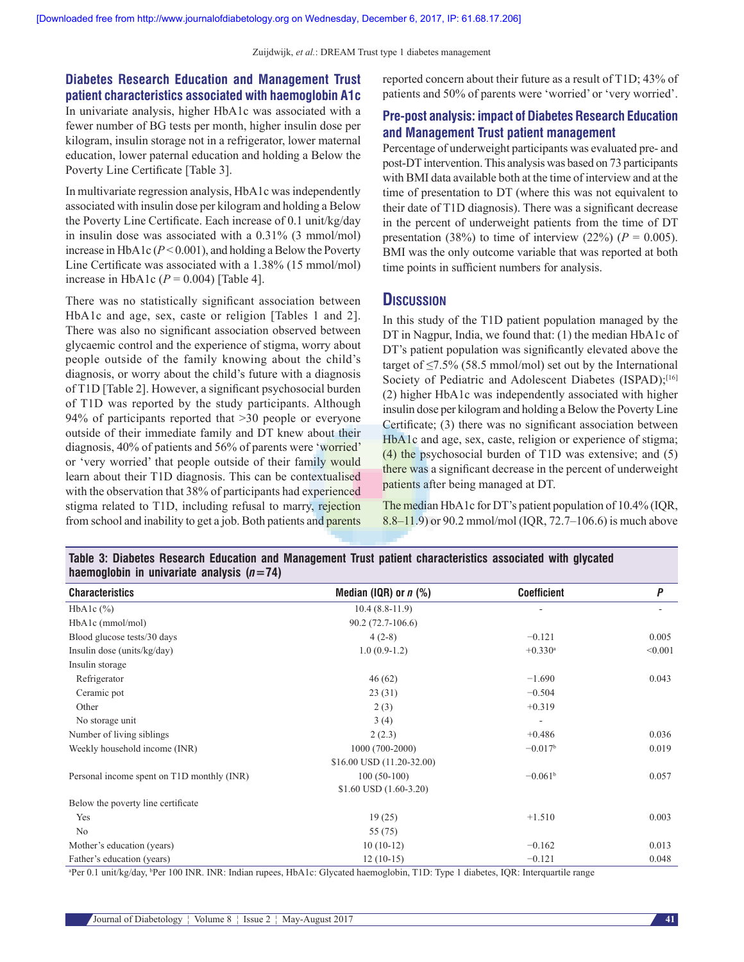# **Diabetes Research Education and Management Trust patient characteristics associated with haemoglobin A1c**

In univariate analysis, higher HbA1c was associated with a fewer number of BG tests per month, higher insulin dose per kilogram, insulin storage not in a refrigerator, lower maternal education, lower paternal education and holding a Below the Poverty Line Certificate [Table 3].

In multivariate regression analysis, HbA1c was independently associated with insulin dose per kilogram and holding a Below the Poverty Line Certificate. Each increase of 0.1 unit/kg/day in insulin dose was associated with a 0.31% (3 mmol/mol) increase in HbA1c  $(P<0.001)$ , and holding a Below the Poverty Line Certificate was associated with a 1.38% (15 mmol/mol) increase in HbA1c  $(P = 0.004)$  [Table 4].

There was no statistically significant association between HbA1c and age, sex, caste or religion [Tables 1 and 2]. There was also no significant association observed between glycaemic control and the experience of stigma, worry about people outside of the family knowing about the child's diagnosis, or worry about the child's future with a diagnosis of T1D [Table 2]. However, a significant psychosocial burden of T1D was reported by the study participants. Although 94% of participants reported that >30 people or everyone outside of their immediate family and DT knew about their diagnosis, 40% of patients and 56% of parents were 'worried' or 'very worried' that people outside of their family would learn about their T1D diagnosis. This can be contextualised with the observation that 38% of participants had experienced stigma related to T1D, including refusal to marry, rejection from school and inability to get a job. Both patients and parents reported concern about their future as a result of T1D; 43% of patients and 50% of parents were 'worried' or 'very worried'.

# **Pre-post analysis: impact of Diabetes Research Education and Management Trust patient management**

Percentage of underweight participants was evaluated pre‑ and post‑DT intervention. This analysis was based on 73 participants with BMI data available both at the time of interview and at the time of presentation to DT (where this was not equivalent to their date of T1D diagnosis). There was a significant decrease in the percent of underweight patients from the time of DT presentation (38%) to time of interview (22%) ( $P = 0.005$ ). BMI was the only outcome variable that was reported at both time points in sufficient numbers for analysis.

## **Discussion**

In this study of the T1D patient population managed by the DT in Nagpur, India, we found that: (1) the median HbA1c of DT's patient population was significantly elevated above the target of  $\leq$ 7.5% (58.5 mmol/mol) set out by the International Society of Pediatric and Adolescent Diabetes (ISPAD);<sup>[16]</sup> (2) higher HbA1c was independently associated with higher insulin dose per kilogram and holding a Below the Poverty Line Certificate; (3) there was no significant association between HbA1c and age, sex, caste, religion or experience of stigma; (4) the psychosocial burden of T1D was extensive; and (5) there was a significant decrease in the percent of underweight patients after being managed at DT.

The median HbA1c for DT's patient population of 10.4% (IQR, 8.8–11.9) or 90.2 mmol/mol (IQR, 72.7–106.6) is much above

| Table 3: Diabetes Research Education and Management Trust patient characteristics associated with glycated |  |  |  |
|------------------------------------------------------------------------------------------------------------|--|--|--|
| haemoglobin in univariate analysis $(n=74)$                                                                |  |  |  |

| <b>Characteristics</b>                     | Median (IQR) or $n$ (%)   | <b>Coefficient</b>       | P       |
|--------------------------------------------|---------------------------|--------------------------|---------|
| HbAlc $(\%)$                               | $10.4(8.8-11.9)$          |                          |         |
| HbA1c (mmol/mol)                           | $90.2(72.7-106.6)$        |                          |         |
| Blood glucose tests/30 days                | $4(2-8)$                  | $-0.121$                 | 0.005   |
| Insulin dose (units/kg/day)                | $1.0(0.9-1.2)$            | $+0.330$ <sup>a</sup>    | < 0.001 |
| Insulin storage                            |                           |                          |         |
| Refrigerator                               | 46(62)                    | $-1.690$                 | 0.043   |
| Ceramic pot                                | 23(31)                    | $-0.504$                 |         |
| Other                                      | 2(3)                      | $+0.319$                 |         |
| No storage unit                            | 3(4)                      | $\overline{\phantom{a}}$ |         |
| Number of living siblings                  | 2(2.3)                    | $+0.486$                 | 0.036   |
| Weekly household income (INR)              | 1000 (700-2000)           | $-0.017b$                | 0.019   |
|                                            | \$16.00 USD (11.20-32.00) |                          |         |
| Personal income spent on T1D monthly (INR) | $100(50-100)$             | $-0.061b$                | 0.057   |
|                                            | $$1.60$ USD $(1.60-3.20)$ |                          |         |
| Below the poverty line certificate         |                           |                          |         |
| Yes                                        | 19(25)                    | $+1.510$                 | 0.003   |
| N <sub>0</sub>                             | 55 (75)                   |                          |         |
| Mother's education (years)                 | $10(10-12)$               | $-0.162$                 | 0.013   |
| Father's education (years)                 | $12(10-15)$               | $-0.121$                 | 0.048   |

a Per 0.1 unit/kg/day, <sup>b</sup> Per 100 INR. INR: Indian rupees, HbA1c: Glycated haemoglobin, T1D: Type 1 diabetes, IQR: Interquartile range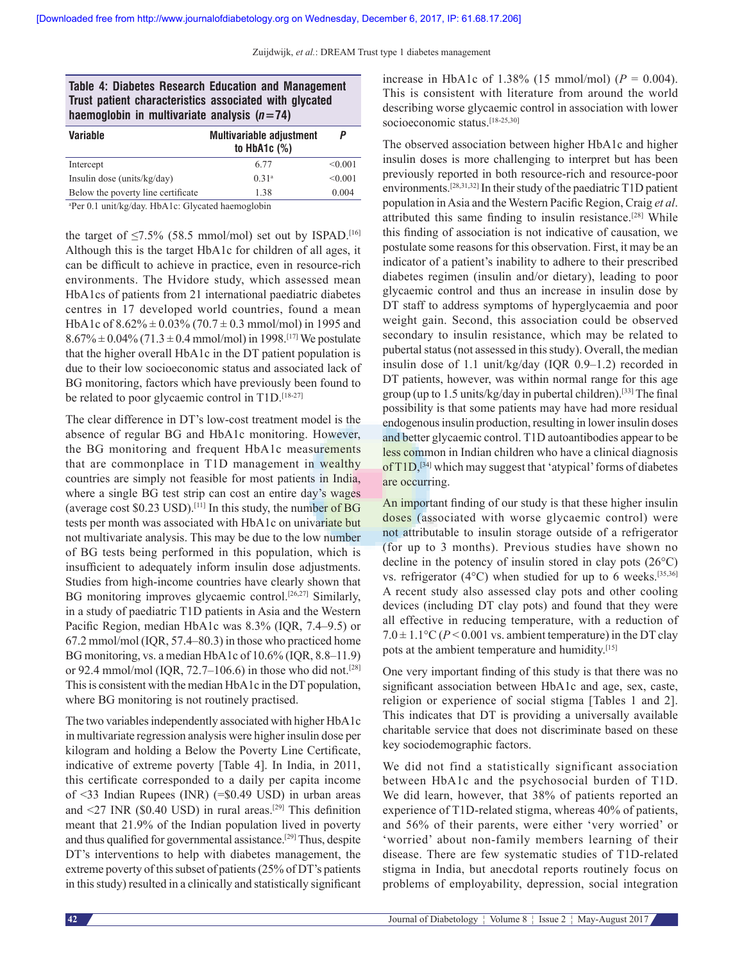|                                                        | <b>Table 4: Diabetes Research Education and Management</b> |
|--------------------------------------------------------|------------------------------------------------------------|
| Trust patient characteristics associated with glycated |                                                            |
| haemoglobin in multivariate analysis $(n=74)$          |                                                            |

| <b>Variable</b>                    | <b>Multivariable adjustment</b><br>to $HbA1c$ $(\%)$ |         |
|------------------------------------|------------------------------------------------------|---------|
| Intercept                          | 6.77                                                 | < 0.001 |
| Insulin dose (units/kg/day)        | 0.31 <sup>a</sup>                                    | < 0.001 |
| Below the poverty line certificate | 1.38                                                 | 0.004   |

a Per 0.1 unit/kg/day. HbA1c: Glycated haemoglobin

the target of  $\leq$ 7.5% (58.5 mmol/mol) set out by ISPAD.<sup>[16]</sup> Although this is the target HbA1c for children of all ages, it can be difficult to achieve in practice, even in resource-rich environments. The Hvidore study, which assessed mean HbA1cs of patients from 21 international paediatric diabetes centres in 17 developed world countries, found a mean HbA1c of  $8.62\% \pm 0.03\%$  (70.7  $\pm$  0.3 mmol/mol) in 1995 and  $8.67\% \pm 0.04\%$  (71.3  $\pm$  0.4 mmol/mol) in 1998.<sup>[17]</sup> We postulate that the higher overall HbA1c in the DT patient population is due to their low socioeconomic status and associated lack of BG monitoring, factors which have previously been found to be related to poor glycaemic control in T1D.<sup>[18-27]</sup>

The clear difference in DT's low-cost treatment model is the absence of regular BG and HbA1c monitoring. However, the BG monitoring and frequent HbA1c measurements that are commonplace in T1D management in wealthy countries are simply not feasible for most patients in India, where a single BG test strip can cost an entire day's wages (average cost  $$0.23$  USD).<sup>[11]</sup> In this study, the number of BG tests per month was associated with HbA1c on univariate but not multivariate analysis. This may be due to the low number of BG tests being performed in this population, which is insufficient to adequately inform insulin dose adjustments. Studies from high-income countries have clearly shown that BG monitoring improves glycaemic control.<sup>[26,27]</sup> Similarly, in a study of paediatric T1D patients in Asia and the Western Pacific Region, median HbA1c was 8.3% (IQR, 7.4–9.5) or 67.2 mmol/mol (IQR, 57.4–80.3) in those who practiced home BG monitoring, vs. a median HbA1c of 10.6% (IQR, 8.8–11.9) or 92.4 mmol/mol (IQR, 72.7–106.6) in those who did not.<sup>[28]</sup> This is consistent with the median HbA1c in the DT population, where BG monitoring is not routinely practised.

The two variables independently associated with higher HbA1c in multivariate regression analysis were higher insulin dose per kilogram and holding a Below the Poverty Line Certificate, indicative of extreme poverty [Table 4]. In India, in 2011, this certificate corresponded to a daily per capita income of <33 Indian Rupees (INR) (=\$0.49 USD) in urban areas and  $\leq$ 27 INR (\$0.40 USD) in rural areas.<sup>[29]</sup> This definition meant that 21.9% of the Indian population lived in poverty and thus qualified for governmental assistance.[29] Thus, despite DT's interventions to help with diabetes management, the extreme poverty of this subset of patients (25% of DT's patients in this study) resulted in a clinically and statistically significant increase in HbA1c of 1.38% (15 mmol/mol) ( $P = 0.004$ ). This is consistent with literature from around the world describing worse glycaemic control in association with lower socioeconomic status.<sup>[18-25,30]</sup>

The observed association between higher HbA1c and higher insulin doses is more challenging to interpret but has been previously reported in both resource‑rich and resource‑poor environments.[28,31,32] In their study of the paediatric T1D patient population in Asia and the Western Pacific Region, Craig *et al*. attributed this same finding to insulin resistance.[28] While this finding of association is not indicative of causation, we postulate some reasons for this observation. First, it may be an indicator of a patient's inability to adhere to their prescribed diabetes regimen (insulin and/or dietary), leading to poor glycaemic control and thus an increase in insulin dose by DT staff to address symptoms of hyperglycaemia and poor weight gain. Second, this association could be observed secondary to insulin resistance, which may be related to pubertal status (not assessed in this study). Overall, the median insulin dose of 1.1 unit/kg/day (IQR 0.9–1.2) recorded in DT patients, however, was within normal range for this age group (up to 1.5 units/kg/day in pubertal children).[33] The final possibility is that some patients may have had more residual endogenous insulin production, resulting in lower insulin doses and better glycaemic control. T1D autoantibodies appear to be less common in Indian children who have a clinical diagnosis of  $T1D$ ,<sup>[34]</sup> which may suggest that 'atypical' forms of diabetes are occurring.

An important finding of our study is that these higher insulin doses (associated with worse glycaemic control) were not attributable to insulin storage outside of a refrigerator (for up to 3 months). Previous studies have shown no decline in the potency of insulin stored in clay pots (26°C) vs. refrigerator  $(4^{\circ}C)$  when studied for up to 6 weeks.<sup>[35,36]</sup> A recent study also assessed clay pots and other cooling devices (including DT clay pots) and found that they were all effective in reducing temperature, with a reduction of  $7.0 \pm 1.1$ °C ( $P < 0.001$  vs. ambient temperature) in the DT clay pots at the ambient temperature and humidity.[15]

One very important finding of this study is that there was no significant association between HbA1c and age, sex, caste, religion or experience of social stigma [Tables 1 and 2]. This indicates that DT is providing a universally available charitable service that does not discriminate based on these key sociodemographic factors.

We did not find a statistically significant association between HbA1c and the psychosocial burden of T1D. We did learn, however, that 38% of patients reported an experience of T1D-related stigma, whereas 40% of patients, and 56% of their parents, were either 'very worried' or 'worried' about non‑family members learning of their disease. There are few systematic studies of T1D-related stigma in India, but anecdotal reports routinely focus on problems of employability, depression, social integration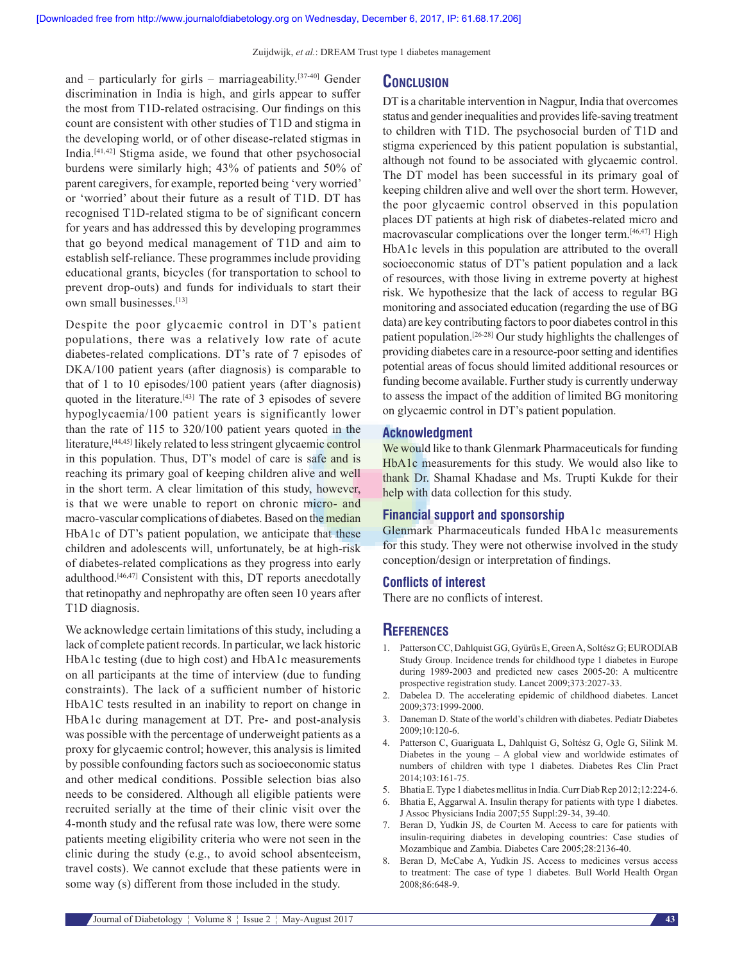and – particularly for girls – marriageability.<sup>[37-40]</sup> Gender discrimination in India is high, and girls appear to suffer the most from T1D‑related ostracising. Our findings on this count are consistent with other studies of T1D and stigma in the developing world, or of other disease-related stigmas in India.[41,42] Stigma aside, we found that other psychosocial burdens were similarly high; 43% of patients and 50% of parent caregivers, for example, reported being 'very worried' or 'worried' about their future as a result of T1D. DT has recognised T1D‑related stigma to be of significant concern for years and has addressed this by developing programmes that go beyond medical management of T1D and aim to establish self‑reliance. These programmes include providing educational grants, bicycles (for transportation to school to prevent drop‑outs) and funds for individuals to start their own small businesses.[13]

Despite the poor glycaemic control in DT's patient populations, there was a relatively low rate of acute diabetes‑related complications. DT's rate of 7 episodes of DKA/100 patient years (after diagnosis) is comparable to that of 1 to 10 episodes/100 patient years (after diagnosis) quoted in the literature.<sup>[43]</sup> The rate of 3 episodes of severe hypoglycaemia/100 patient years is significantly lower than the rate of 115 to 320/100 patient years quoted in the literature,[44,45] likely related to less stringent glycaemic control in this population. Thus, DT's model of care is safe and is reaching its primary goal of keeping children alive and well in the short term. A clear limitation of this study, however, is that we were unable to report on chronic micro- and macro-vascular complications of diabetes. Based on the median HbA1c of DT's patient population, we anticipate that these children and adolescents will, unfortunately, be at high-risk of diabetes‑related complications as they progress into early adulthood.[46,47] Consistent with this, DT reports anecdotally that retinopathy and nephropathy are often seen 10 years after T1D diagnosis.

We acknowledge certain limitations of this study, including a lack of complete patient records. In particular, we lack historic HbA1c testing (due to high cost) and HbA1c measurements on all participants at the time of interview (due to funding constraints). The lack of a sufficient number of historic HbA1C tests resulted in an inability to report on change in HbA1c during management at DT. Pre- and post-analysis was possible with the percentage of underweight patients as a proxy for glycaemic control; however, this analysis is limited by possible confounding factors such as socioeconomic status and other medical conditions. Possible selection bias also needs to be considered. Although all eligible patients were recruited serially at the time of their clinic visit over the 4‑month study and the refusal rate was low, there were some patients meeting eligibility criteria who were not seen in the clinic during the study (e.g., to avoid school absenteeism, travel costs). We cannot exclude that these patients were in some way (s) different from those included in the study.

DT is a charitable intervention in Nagpur, India that overcomes status and gender inequalities and provides life‑saving treatment to children with T1D. The psychosocial burden of T1D and stigma experienced by this patient population is substantial, although not found to be associated with glycaemic control. The DT model has been successful in its primary goal of keeping children alive and well over the short term. However, the poor glycaemic control observed in this population places DT patients at high risk of diabetes-related micro and macrovascular complications over the longer term.<sup>[46,47]</sup> High HbA1c levels in this population are attributed to the overall socioeconomic status of DT's patient population and a lack of resources, with those living in extreme poverty at highest risk. We hypothesize that the lack of access to regular BG monitoring and associated education (regarding the use of BG data) are key contributing factors to poor diabetes control in this patient population.[26‑28] Our study highlights the challenges of providing diabetes care in a resource‑poor setting and identifies potential areas of focus should limited additional resources or funding become available. Further study is currently underway to assess the impact of the addition of limited BG monitoring on glycaemic control in DT's patient population.

#### **Acknowledgment**

We would like to thank Glenmark Pharmaceuticals for funding HbA1c measurements for this study. We would also like to thank Dr. Shamal Khadase and Ms. Trupti Kukde for their help with data collection for this study.

#### **Financial support and sponsorship**

Glenmark Pharmaceuticals funded HbA1c measurements for this study. They were not otherwise involved in the study conception/design or interpretation of findings.

#### **Conflicts of interest**

There are no conflicts of interest.

## **References**

- 1. PattersonCC, Dahlquist GG, Gyürüs E, GreenA, Soltész G; EURODIAB Study Group. Incidence trends for childhood type 1 diabetes in Europe during 1989‑2003 and predicted new cases 2005‑20: A multicentre prospective registration study. Lancet 2009;373:2027‑33.
- 2. Dabelea D. The accelerating epidemic of childhood diabetes. Lancet 2009;373:1999‑2000.
- 3. Daneman D. State of the world's children with diabetes. Pediatr Diabetes 2009;10:120‑6.
- 4. Patterson C, Guariguata L, Dahlquist G, Soltész G, Ogle G, Silink M. Diabetes in the young – A global view and worldwide estimates of numbers of children with type 1 diabetes. Diabetes Res Clin Pract 2014;103:161‑75.
- 5. BhatiaE. Type 1 diabetes mellitus in India. Curr Diab Rep 2012;12:224‑6.
- 6. Bhatia E, Aggarwal A. Insulin therapy for patients with type 1 diabetes. J Assoc Physicians India 2007;55 Suppl:29‑34, 39‑40.
- 7. Beran D, Yudkin JS, de Courten M. Access to care for patients with insulin‑requiring diabetes in developing countries: Case studies of Mozambique and Zambia. Diabetes Care 2005;28:2136-40.
- 8. Beran D, McCabe A, Yudkin JS. Access to medicines versus access to treatment: The case of type 1 diabetes. Bull World Health Organ 2008;86:648‑9.